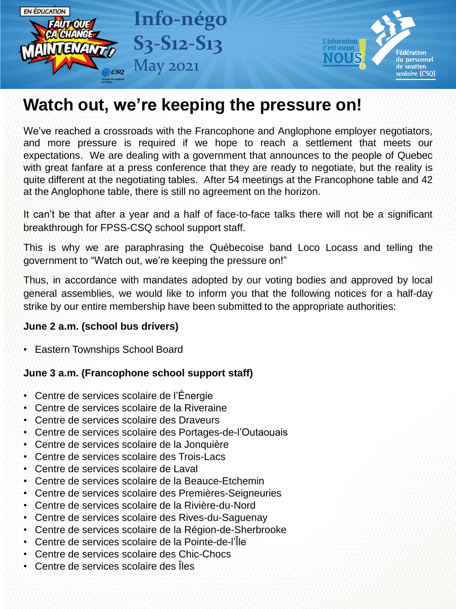

## **Watch out, we're keeping the pressure on!**

We've reached a crossroads with the Francophone and Anglophone employer negotiators, and more pressure is required if we hope to reach a settlement that meets our expectations. We are dealing with a government that announces to the people of Quebec with great fanfare at a press conference that they are ready to negotiate, but the reality is quite different at the negotiating tables. After 54 meetings at the Francophone table and 42 at the Anglophone table, there is still no agreement on the horizon.

It can't be that after a year and a half of face-to-face talks there will not be a significant breakthrough for FPSS-CSQ school support staff.

This is why we are paraphrasing the Québecoise band Loco Locass and telling the government to "Watch out, we're keeping the pressure on!"

Thus, in accordance with mandates adopted by our voting bodies and approved by local general assemblies, we would like to inform you that the following notices for a half-day strike by our entire membership have been submitted to the appropriate authorities:

## **June 2 a.m. (school bus drivers)**

• Eastern Townships School Board

## **June 3 a.m. (Francophone school support staff)**

- Centre de services scolaire de l'Énergie
- Centre de services scolaire de la Riveraine
- Centre de services scolaire des Draveurs
- Centre de services scolaire des Portages-de-l'Outaouais
- Centre de services scolaire de la Jonquière
- Centre de services scolaire des Trois-Lacs
- Centre de services scolaire de Laval
- Centre de services scolaire de la Beauce-Etchemin
- Centre de services scolaire des Premières-Seigneuries
- Centre de services scolaire de la Rivière-du-Nord
- Centre de services scolaire des Rives-du-Saguenay
- Centre de services scolaire de la Région-de-Sherbrooke
- Centre de services scolaire de la Pointe-de-l'Île
- Centre de services scolaire des Chic-Chocs
- Centre de services scolaire des Îles